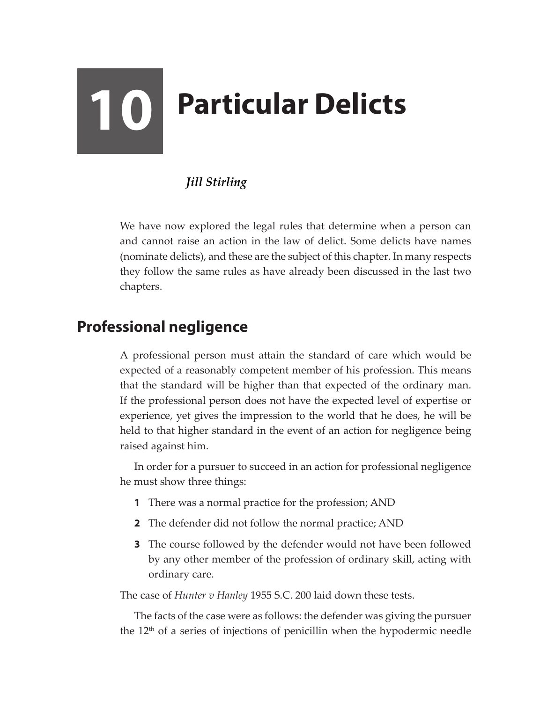# **10 Particular Delicts**

# *Jill Stirling*

We have now explored the legal rules that determine when a person can and cannot raise an action in the law of delict. Some delicts have names (nominate delicts), and these are the subject of this chapter. In many respects they follow the same rules as have already been discussed in the last two chapters.

# **Professional negligence**

A professional person must attain the standard of care which would be expected of a reasonably competent member of his profession. This means that the standard will be higher than that expected of the ordinary man. If the professional person does not have the expected level of expertise or experience, yet gives the impression to the world that he does, he will be held to that higher standard in the event of an action for negligence being raised against him.

In order for a pursuer to succeed in an action for professional negligence he must show three things:

- **1** There was a normal practice for the profession; AND
- **2** The defender did not follow the normal practice; AND
- **3** The course followed by the defender would not have been followed by any other member of the profession of ordinary skill, acting with ordinary care.

The case of *Hunter v Hanley* 1955 S.C. 200 laid down these tests.

The facts of the case were as follows: the defender was giving the pursuer the 12<sup>th</sup> of a series of injections of penicillin when the hypodermic needle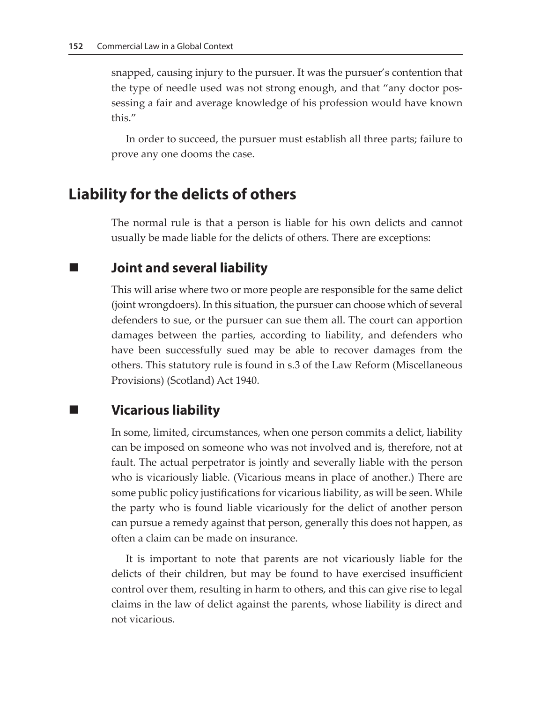snapped, causing injury to the pursuer. It was the pursuer's contention that the type of needle used was not strong enough, and that "any doctor possessing a fair and average knowledge of his profession would have known this."

In order to succeed, the pursuer must establish all three parts; failure to prove any one dooms the case.

# **Liability for the delicts of others**

The normal rule is that a person is liable for his own delicts and cannot usually be made liable for the delicts of others. There are exceptions:

**Joint and several liability**

This will arise where two or more people are responsible for the same delict (joint wrongdoers). In this situation, the pursuer can choose which of several defenders to sue, or the pursuer can sue them all. The court can apportion damages between the parties, according to liability, and defenders who have been successfully sued may be able to recover damages from the others. This statutory rule is found in s.3 of the Law Reform (Miscellaneous Provisions) (Scotland) Act 1940.

# **Vicarious liability**

In some, limited, circumstances, when one person commits a delict, liability can be imposed on someone who was not involved and is, therefore, not at fault. The actual perpetrator is jointly and severally liable with the person who is vicariously liable. (Vicarious means in place of another.) There are some public policy justifications for vicarious liability, as will be seen. While the party who is found liable vicariously for the delict of another person can pursue a remedy against that person, generally this does not happen, as often a claim can be made on insurance.

It is important to note that parents are not vicariously liable for the delicts of their children, but may be found to have exercised insufficient control over them, resulting in harm to others, and this can give rise to legal claims in the law of delict against the parents, whose liability is direct and not vicarious.